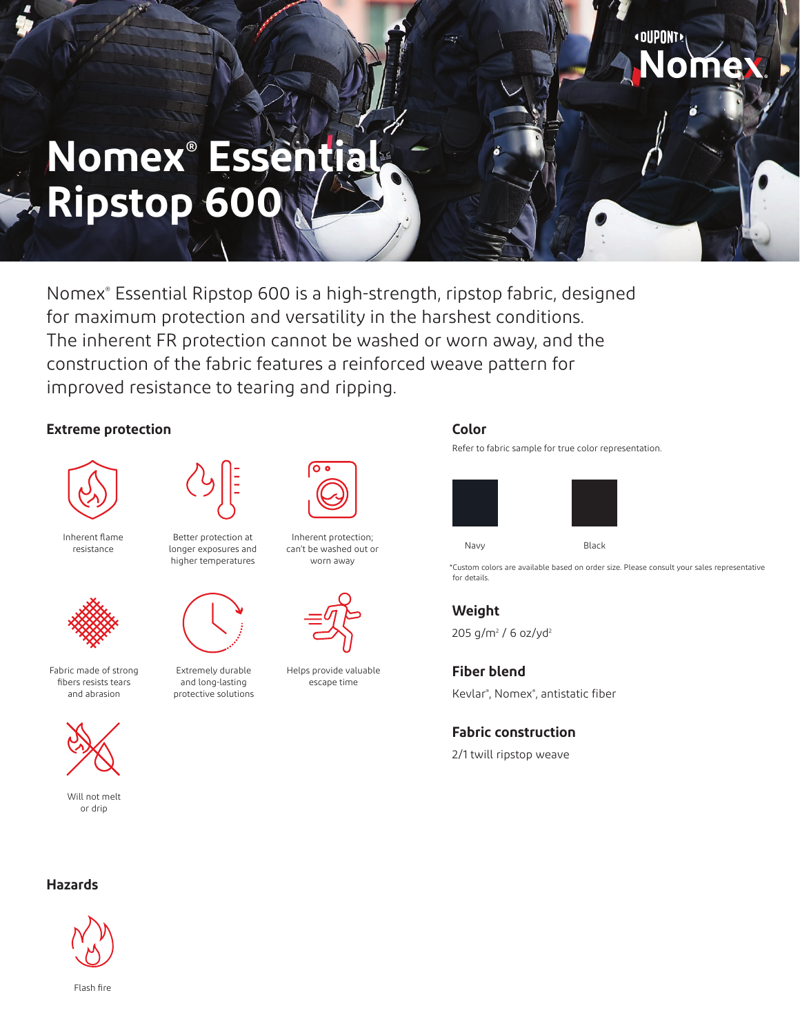# **Nomex® Essential Ripstop 600**

Nomex® Essential Ripstop 600 is a high-strength, ripstop fabric, designed for maximum protection and versatility in the harshest conditions. The inherent FR protection cannot be washed or worn away, and the construction of the fabric features a reinforced weave pattern for improved resistance to tearing and ripping.

## **Extreme protection**



Inherent flame resistance

Fabric made of strong fibers resists tears and abrasion

> Will not melt or drip



Better protection at longer exposures and higher temperatures



Extremely durable and long-lasting protective solutions



Inherent protection; can't be washed out or worn away



Helps provide valuable escape time

#### **Color**

Refer to fabric sample for true color representation.





\*Custom colors are available based on order size. Please consult your sales representative for details.

**«DUPONT»** 

## **Weight**

205 g/m² / 6 oz/yd<sup>2</sup>

**Fiber blend** Kevlar® , Nomex® , antistatic fiber

#### **Fabric construction**

2/1 twill ripstop weave

#### **Hazards**